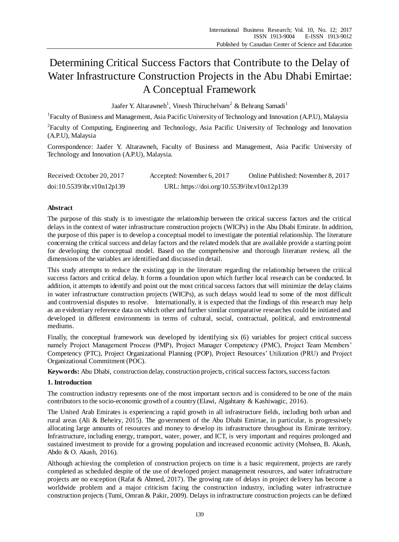# Determining Critical Success Factors that Contribute to the Delay of Water Infrastructure Construction Projects in the Abu Dhabi Emirtae: A Conceptual Framework

Jaafer Y. Altarawneh<sup>1</sup>, Vinesh Thiruchelvam<sup>2</sup> & Behrang Samadi<sup>1</sup>

<sup>1</sup> Faculty of Business and Management, Asia Pacific University of Technology and Innovation (A.P.U), Malaysia

<sup>2</sup> Faculty of Computing, Engineering and Technology, Asia Pacific University of Technology and Innovation (A.P.U), Malaysia

Correspondence: Jaafer Y. Altarawneh, Faculty of Business and Management, Asia Pacific University of Technology and Innovation (A.P.U), Malaysia.

| Received: October 20, 2017 | Accepted: November 6, 2017                  | Online Published: November 8, 2017 |
|----------------------------|---------------------------------------------|------------------------------------|
| doi:10.5539/ibr.v10n12p139 | URL: https://doi.org/10.5539/ibr.v10n12p139 |                                    |

# **Abstract**

The purpose of this study is to investigate the relationship between the critical success factors and the critical delays in the context of water infrastructure construction projects (WICPs) in the Abu Dhabi Emirate. In addition, the purpose of this paper is to develop a conceptual model to investigate the potential relationship. The literature concerning the critical success and delay factors and the related models that are available provide a starting point for developing the conceptual model. Based on the comprehensive and thorough literature review, all the dimensions of the variables are identified and discussed in detail.

This study attempts to reduce the existing gap in the literature regarding the relationship between the critical success factors and critical delay. It forms a foundation upon which further local research can be conducted. In addition, it attempts to identify and point out the most critical success factors that will minimize the delay claims in water infrastructure construction projects (WICPs), as such delays would lead to some of the most difficult and controversial disputes to resolve. Internationally, it is expected that the findings of this research may help as an evidentiary reference data on which other and further similar comparative researches could be initiated and developed in different environments in terms of cultural, social, contractual, political, and environmental mediums.

Finally, the conceptual framework was developed by identifying six (6) variables for project critical success namely Project Management Process (PMP), Project Manager Competency (PMC), Project Team Members' Competency (PTC), Project Organizational Planning (POP), Project Resources' Utilization (PRU) and Project Organizational Commitment (POC).

**Keywords:** Abu Dhabi, construction delay, construction projects, critical success factors, success factors

## **1. Introduction**

The construction industry represents one of the most important sectors and is considered to be one of the main contributors to the socio-economic growth of a country (Elawi, Algahtany & Kashiwagic, 2016).

The United Arab Emirates is experiencing a rapid growth in all infrastructure fields, including both urban and rural areas (Ali & Beheiry, 2015). The government of the Abu Dhabi Emirtae, in particular, is progressively allocating large amounts of resources and money to develop its infrastructure throughout its Emirate territory. Infrastructure, including energy, transport, water, power, and ICT, is very important and requires prolonged and sustained investment to provide for a growing population and increased economic activity (Mohsen, B. Akash, Abdo & O. Akash, 2016).

Although achieving the completion of construction projects on time is a basic requirement, projects are rarely completed as scheduled despite of the use of developed project management resources, and water infrastructure projects are no exception (Rafat & Ahmed, 2017). The growing rate of delays in project delivery has become a worldwide problem and a major criticism facing the construction industry, including water infrastructure construction projects (Tumi, Omran & Pakir, 2009). Delays in infrastructure construction projects can be defined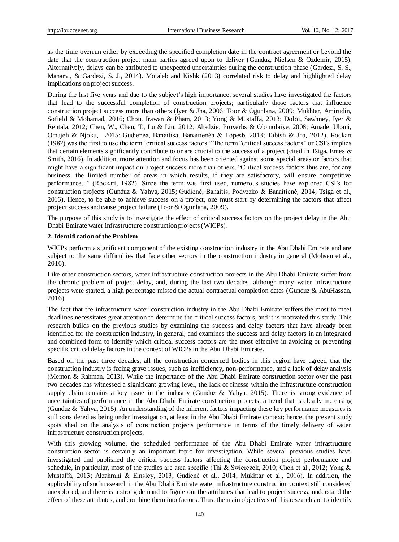as the time overrun either by exceeding the specified completion date in the contract agreement or beyond the date that the construction project main parties agreed upon to deliver (Gunduz, Nielsen & Ozdemir, 2015). Alternatively, delays can be attributed to unexpected uncertainties during the construction phase (Gardezi, S. S., Manarvi, & Gardezi, S. J., 2014). Motaleb and Kishk (2013) correlated risk to delay and highlighted delay implications on project success.

During the last five years and due to the subject's high importance, several studies have investigated the factors that lead to the successful completion of construction projects; particularly those factors that influence construction project success more than others (Iyer & Jha, 2006; Toor & Ogunlana, 2009; Mukhtar, Amirudin, Sofield & Mohamad, 2016; Chou, Irawan & Pham, 2013; Yong & Mustaffa, 2013; Doloi, Sawhney, Iyer & Rentala, 2012; Chen, W., Chen, T., Lu & Liu, 2012; Ahadzie, Proverbs & Olomolaiye, 2008; Amade, Ubani, Omajeh & Njoku, 2015; Gudienėa, Banaitisa, Banaitienėa & Lopesb, 2013; Tabish & Jha, 2012). Rockart (1982) was the first to use the term "critical success factors." The term "critical success factors" or CSFs implies that certain elements significantly contribute to or are crucial to the success of a project (cited in Tsiga, Emes & Smith, 2016). In addition, more attention and focus has been oriented against some special areas or factors that might have a significant impact on project success more than others. "Critical success factors thus are, for any business, the limited number of areas in which results, if they are satisfactory, will ensure competitive performance..." (Rockart, 1982). Since the term was first used, numerous studies have explored CSFs for construction projects (Gunduz & Yahya, 2015; Gudienė, Banaitis, Podvezko & Banaitienė, 2014; Tsiga et al., 2016). Hence, to be able to achieve success on a project, one must start by determining the factors that affect project success and cause project failure (Toor & Ogunlana, 2009).

The purpose of this study is to investigate the effect of critical success factors on the project delay in the Abu Dhabi Emirate water infrastructure construction projects (WICPs).

#### **2. Identification of the Problem**

WICPs perform a significant component of the existing construction industry in the Abu Dhabi Emirate and are subject to the same difficulties that face other sectors in the construction industry in general (Mohsen et al., 2016).

Like other construction sectors, water infrastructure construction projects in the Abu Dhabi Emirate suffer from the chronic problem of project delay, and, during the last two decades, although many water infrastructure projects were started, a high percentage missed the actual contractual completion dates (Gunduz & AbuHassan, 2016).

The fact that the infrastructure water construction industry in the Abu Dhabi Emirate suffers the most to meet deadlines necessitates great attention to determine the critical success factors, and it is motivated this study. This research builds on the previous studies by examining the success and delay factors that have already been identified for the construction industry, in general, and examines the success and delay factors in an integrated and combined form to identify which critical success factors are the most effective in avoiding or preventing specific critical delay factors in the context of WICPs in the Abu Dhabi Emirate.

Based on the past three decades, all the construction concerned bodies in this region have agreed that the construction industry is facing grave issues, such as inefficiency, non-performance, and a lack of delay analysis (Memon & Rahman, 2013). While the importance of the Abu Dhabi Emirate construction sector over the past two decades has witnessed a significant growing level, the lack of finesse within the infrastructure construction supply chain remains a key issue in the industry (Gunduz & Yahya, 2015). There is strong evidence of uncertainties of performance in the Abu Dhabi Emirate construction projects, a trend that is clearly increasing (Gunduz & Yahya, 2015). An understanding of the inherent factors impacting these key performance measures is still considered as being under investigation, at least in the Abu Dhabi Emirate context; hence, the present study spots shed on the analysis of construction projects performance in terms of the timely delivery of water infrastructure construction projects.

With this growing volume, the scheduled performance of the Abu Dhabi Emirate water infrastructure construction sector is certainly an important topic for investigation. While several previous studies have investigated and published the critical success factors affecting the construction project performance and schedule, in particular, most of the studies are area specific (Thi & Swierczek, 2010; Chen et al., 2012; Yong & Mustaffa, 2013; Alzahrani & Emsley, 2013; Gudienė et al., 2014; Mukhtar et al., 2016). In addition, the applicability of such research in the Abu Dhabi Emirate water infrastructure construction context still considered unexplored, and there is a strong demand to figure out the attributes that lead to project success, understand the effect of these attributes, and combine them into factors. Thus, the main objectives of this research are to identify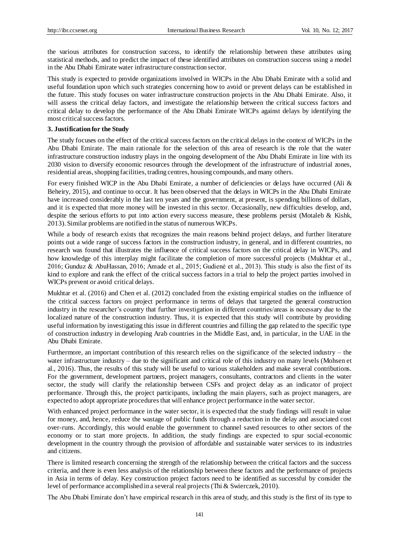the various attributes for construction success, to identify the relationship between these attributes using statistical methods, and to predict the impact of these identified attributes on construction success using a model in the Abu Dhabi Emirate water infrastructure construction sector.

This study is expected to provide organizations involved in WICPs in the Abu Dhabi Emirate with a solid and useful foundation upon which such strategies concerning how to avoid or prevent delays can be established in the future. This study focuses on water infrastructure construction projects in the Abu Dhabi Emirate. Also, it will assess the critical delay factors, and investigate the relationship between the critical success factors and critical delay to develop the performance of the Abu Dhabi Emirate WICPs against delays by identifying the most critical success factors.

#### **3. Justification for the Study**

The study focuses on the effect of the critical success factors on the critical delays in the context of WICPs in the Abu Dhabi Emirate. The main rationale for the selection of this area of research is the role that the water infrastructure construction industry plays in the ongoing development of the Abu Dhabi Emirate in line with its 2030 vision to diversify economic resources through the development of the infrastructure of industrial zones, residential areas, shopping facilities, trading centres, housing compounds, and many others.

For every finished WICP in the Abu Dhabi Emirate, a number of deficiencies or delays have occurred (Ali & Beheiry, 2015), and continue to occur. It has been observed that the delays in WICPs in the Abu Dhabi Emirate have increased considerably in the last ten years and the government, at present, is spending billions of dollars, and it is expected that more money will be invested in this sector. Occasionally, new difficulties develop, and, despite the serious efforts to put into action every success measure, these problems persist (Motaleb & Kishk, 2013). Similar problems are notified in the status of numerous WICPs.

While a body of research exists that recognizes the main reasons behind project delays, and further literature points out a wide range of success factors in the construction industry, in general, and in different countries, no research was found that illustrates the influence of critical success factors on the critical delay in WICPs, and how knowledge of this interplay might facilitate the completion of more successful projects (Mukhtar et al., 2016; Gunduz & AbuHassan, 2016; Amade et al., 2015; Gudienė et al., 2013). This study is also the first of its kind to explore and rank the effect of the critical success factors in a trial to help the project parties involved in WICPs prevent or avoid critical delays.

Mukhtar et al. (2016) and Chen et al. (2012) concluded from the existing empirical studies on the influence of the critical success factors on project performance in terms of delays that targeted the general construction industry in the researcher's country that further investigation in different countries/areas is necessary due to the localized nature of the construction industry. Thus, it is expected that this study will contribute by providing useful information by investigating this issue in different countries and filling the gap related to the specific type of construction industry in developing Arab countries in the Middle East, and, in particular, in the UAE in the Abu Dhabi Emirate.

Furthermore, an important contribution of this research relies on the significance of the selected industry – the water infrastructure industry – due to the significant and critical role of this industry on many levels (Mohsen et al., 2016). Thus, the results of this study will be useful to various stakeholders and make several contributions. For the government, development partners, project managers, consultants, contractors and clients in the water sector, the study will clarify the relationship between CSFs and project delay as an indicator of project performance. Through this, the project participants, including the main players, such as project managers, are expected to adopt appropriate procedures that will enhance project performance in the water sector.

With enhanced project performance in the water sector, it is expected that the study findings will result in value for money, and, hence, reduce the wastage of public funds through a reduction in the delay and associated cost over-runs. Accordingly, this would enable the government to channel saved resources to other sectors of the economy or to start more projects. In addition, the study findings are expected to spur social-economic development in the country through the provision of affordable and sustainable water services to its industries and citizens.

There is limited research concerning the strength of the relationship between the critical factors and the success criteria, and there is even less analysis of the relationship between these factors and the performance of projects in Asia in terms of delay. Key construction project factors need to be identified as successful by consider the level of performance accomplished in a several real projects (Thi & Swierczek, 2010).

The Abu Dhabi Emirate don't have empirical research in this area of study, and this study is the first of its type to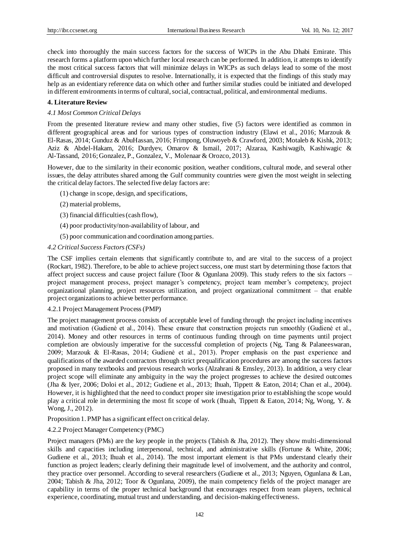check into thoroughly the main success factors for the success of WICPs in the Abu Dhabi Emirate. This research forms a platform upon which further local research can be performed. In addition, it attempts to identify the most critical success factors that will minimize delays in WICPs as such delays lead to some of the most difficult and controversial disputes to resolve. Internationally, it is expected that the findings of this study may help as an evidentiary reference data on which other and further similar studies could be initiated and developed in different environments in terms of cultural, social, contractual, political, and environmental mediums.

## **4. Literature Review**

### *4.1 Most Common Critical Delays*

From the presented literature review and many other studies, five (5) factors were identified as common in different geographical areas and for various types of construction industry (Elawi et al., 2016; Marzouk & El-Rasas, 2014; Gunduz & AbuHassan, 2016; Frimpong, Oluwoyeb & Crawford, 2003; Motaleb & Kishk, 2013; Aziz & Abdel-Hakam, 2016; Durdyev, Omarov & Ismail, 2017; Alzaraa, Kashiwagib, Kashiwagic & Al-Tassand, 2016; Gonzalez, P., Gonzalez, V., Molenaar & Orozco, 2013).

However, due to the similarity in their economic position, weather conditions, cultural mode, and several other issues, the delay attributes shared among the Gulf community countries were given the most weight in selecting the critical delay factors. The selected five delay factors are:

- (1) change in scope, design, and specifications,
- (2) material problems,
- (3) financial difficulties (cash flow),
- (4) poor productivity/non-availability of labour, and
- (5) poor communication and coordination among parties.

# *4.2 Critical Success Factors (CSFs)*

The CSF implies certain elements that significantly contribute to, and are vital to the success of a project (Rockart, 1982). Therefore, to be able to achieve project success, one must start by determining those factors that affect project success and cause project failure (Toor & Ogunlana 2009). This study refers to the six factors – project management process, project manager's competency, project team member's competency, project organizational planning, project resources utilization, and project organizational commitment – that enable project organizations to achieve better performance.

#### 4.2.1 Project Management Process (PMP)

The project management process consists of acceptable level of funding through the project including incentives and motivation (Gudienė et al., 2014). These ensure that construction projects run smoothly (Gudienė et al., 2014). Money and other resources in terms of continuous funding through on time payments until project completion are obviously imperative for the successful completion of projects (Ng, Tang & Palaneeswaran, 2009; Marzouk & El-Rasas, 2014; Gudienė et al., 2013). Proper emphasis on the past experience and qualifications of the awarded contractors through strict prequalification procedures are among the success factors proposed in many textbooks and previous research works (Alzahrani & Emsley, 2013). In addition, a very clear project scope will eliminate any ambiguity in the way the project progresses to achieve the desired outcomes (Jha & Iyer, 2006; Doloi et al., 2012; Gudiene et al., 2013; Ihuah, Tippett & Eaton, 2014; Chan et al., 2004). However, it is highlighted that the need to conduct proper site investigation prior to establishing the scope would play a critical role in determining the most fit scope of work (Ihuah, Tippett & Eaton, 2014; Ng, Wong, Y. & Wong, J., 2012).

Proposition 1. PMP has a significant effect on critical delay.

## 4.2.2 Project Manager Competency (PMC)

Project managers (PMs) are the key people in the projects (Tabish & Jha, 2012). They show multi-dimensional skills and capacities including interpersonal, technical, and administrative skills (Fortune & White, 2006; Gudiene et al., 2013; Ihuah et al., 2014). The most important element is that PMs understand clearly their function as project leaders; clearly defining their magnitude level of involvement, and the authority and control, they practice over personnel. According to several researchers (Gudiene et al., 2013; Nguyen, Ogunlana & Lan, 2004; Tabish & Jha, 2012; Toor & Ogunlana, 2009), the main competency fields of the project manager are capability in terms of the proper technical background that encourages respect from team players, technical experience, coordinating, mutual trust and understanding, and decision-making effectiveness.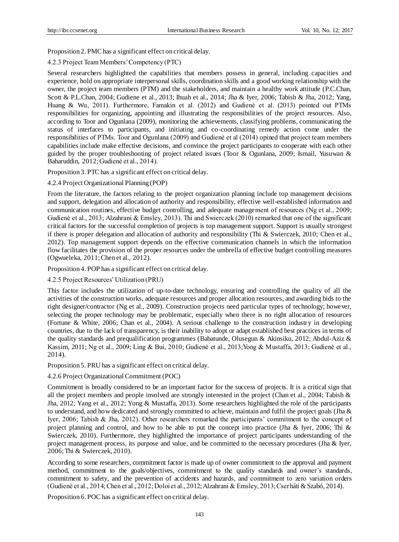Proposition 2. PMC has a significant effect on critical delay.

4.2.3 Project Team Members' Competency (PTC)

Several researchers highlighted the capabilities that members possess in general, including capacities and experience, hold on appropriate interpersonal skills, coordination skills and a good working relationship with the owner, the project team members (PTM) and the stakeholders, and maintain a healthy work attitude (P.C.Chan, Scott & P.L.Chan, 2004; Gudiene et al., 2013; Ihuah et al., 2014; Jha & Iyer, 2006; Tabish & Jha, 2012; Yang, Huang & Wu, 2011). Furthermore, Famakin et al. (2012) and Gudienė et al. (2013) pointed out PTMs responsibilities for organizing, appointing and illustrating the responsibilities of the project resources. Also, according to Toor and Ogunlana (2009), monitoring the achievements, classifying problems, communicating the status of interfaces to participants, and initiating and co-coordinating remedy action come under the responsibilities of PTMs. Toor and Ogunlana (2009) and Gudienė et al (2014) opined that project team members capabilities include make effective decisions, and convince the project participants to cooperate with each other guided by the proper troubleshooting of project related issues (Toor & Ogunlana, 2009; Ismail, Yusuwan & Baharuddin, 2012;Gudienė et al., 2014).

Proposition 3. PTC has a significant effect on critical delay.

# 4.2.4 Project Organizational Planning (POP)

From the literature, the factors relating to the project organization planning include top management decisions and support, delegation and allocation of authority and responsibility, effective well-established information and communication routines, effective budget controlling, and adequate management of resources (Ng et al., 2009; Gudienė et al., 2013; Alzahrani & Emsley, 2013). Thi and Swierczek (2010) remarked that one of the significant critical factors for the successful completion of projects is top management support. Support is usually strongest if there is proper delegation and allocation of authority and responsibility (Thi & Swierczek, 2010; Chen et al., 2012). Top management support depends on the effective communication channels in which the information flow facilitates the provision of the proper resources under the umbrella of effective budget controlling measures (Ogwueleka, 2011; Chen et al., 2012).

Proposition 4. POP has a significant effect on critical delay.

# 4.2.5 Project Resources' Utilization (PRU)

This factor includes the utilization of up-to-date technology, ensuring and controlling the quality of all the activities of the construction works, adequate resources and proper allocation resources, and awarding bids to the right designer/contractor (Ng et al., 2009). Construction projects need particular types of technology; however, selecting the proper technology may be problematic, especially when there is no right allocation of resources (Fortune & White, 2006; Chan et al., 2004). A serious challenge to the construction industry in developing countries, due to the lack of transparency, is their inability to adopt or adapt established best practices in terms of the quality standards and prequalification programmes (Babatunde, Olusegun & Akinsiku, 2012; Abdul-Aziz & Kassim, 2011; Ng et al., 2009; Ling & Bui, 2010; Gudienė et al., 2013;Yong & Mustaffa, 2013; Gudienė et al., 2014).

Proposition 5. PRU has a significant effect on critical delay.

# 4.2.6 Project Organizational Commitment (POC)

Commitment is broadly considered to be an important factor for the success of projects. It is a critical sign that all the project members and people involved are strongly interested in the project (Chan et al., 2004; Tabish & Jha, 2012; Yang et al., 2012; Yong & Mustaffa, 2013). Some researchers highlighted the role of the participants to understand, and how dedicated and strongly committed to achieve, maintain and fulfil the project goals (Jha & Iyer, 2006; Tabish & Jha, 2012). Other researchers remarked the participants' commitment to the concept of project planning and control, and how to be able to put the concept into practice (Jha & Iyer, 2006; Thi & Swierczek, 2010). Furthermore, they highlighted the importance of project participants understanding of the project management process, its purpose and value, and be committed to the necessary procedures (Jha & Iyer, 2006; Thi & Swierczek, 2010).

According to some researchers, commitment factor is made up of owner commitment to the approval and payment method, commitment to the goals/objectives, commitment to the quality standards and owner's standards, commitment to safety, and the prevention of accidents and hazards, and commitment to zero variation orders (Gudienė et al., 2014; Chen et al., 2012; Doloi et al., 2012; Alzahrani & Emsley, 2013; Cserháti & Szabó, 2014).

Proposition 6. POC has a significant effect on critical delay.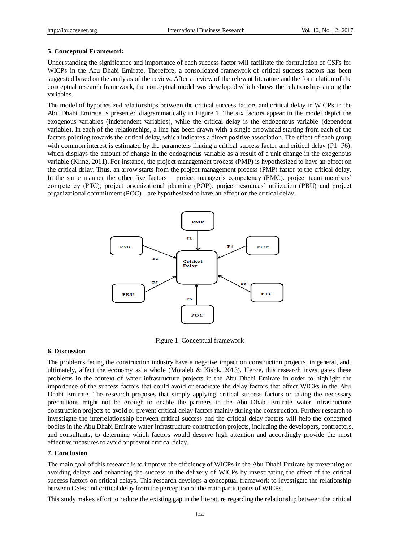#### **5. Conceptual Framework**

Understanding the significance and importance of each success factor will facilitate the formulation of CSFs for WICPs in the Abu Dhabi Emirate. Therefore, a consolidated framework of critical success factors has been suggested based on the analysis of the review. After a review of the relevant literature and the formulation of the conceptual research framework, the conceptual model was developed which shows the relationships among the variables.

The model of hypothesized relationships between the critical success factors and critical delay in WICPs in the Abu Dhabi Emirate is presented diagrammatically in Figure 1. The six factors appear in the model depict the exogenous variables (independent variables), while the critical delay is the endogenous variable (dependent variable). In each of the relationships, a line has been drawn with a single arrowhead starting from each of the factors pointing towards the critical delay, which indicates a direct positive association. The effect of each group with common interest is estimated by the parameters linking a critical success factor and critical delay (P1–P6), which displays the amount of change in the endogenous variable as a result of a unit change in the exogenous variable (Kline, 2011). For instance, the project management process (PMP) is hypothesized to have an effect on the critical delay. Thus, an arrow starts from the project management process (PMP) factor to the critical delay. In the same manner the other five factors – project manager's competency (PMC), project team members' competency (PTC), project organizational planning (POP), project resources' utilization (PRU) and project organizational commitment (POC) – are hypothesized to have an effect on the critical delay.



Figure 1. Conceptual framework

# **6. Discussion**

The problems facing the construction industry have a negative impact on construction projects, in general, and, ultimately, affect the economy as a whole (Motaleb & Kishk, 2013). Hence, this research investigates these problems in the context of water infrastructure projects in the Abu Dhabi Emirate in order to highlight the importance of the success factors that could avoid or eradicate the delay factors that affect WICPs in the Abu Dhabi Emirate. The research proposes that simply applying critical success factors or taking the necessary precautions might not be enough to enable the partners in the Abu Dhabi Emirate water infrastructure construction projects to avoid or prevent critical delay factors mainly during the construction. Further research to investigate the interrelationship between critical success and the critical delay factors will help the concerned bodies in the Abu Dhabi Emirate water infrastructure construction projects, including the developers, contractors, and consultants, to determine which factors would deserve high attention and accordingly provide the most effective measures to avoid or prevent critical delay.

#### **7. Conclusion**

The main goal of this research is to improve the efficiency of WICPs in the Abu Dhabi Emirate by preventing or avoiding delays and enhancing the success in the delivery of WICPs by investigating the effect of the critical success factors on critical delays. This research develops a conceptual framework to investigate the relationship between CSFs and critical delay from the perception of the main participants of WICPs.

This study makes effort to reduce the existing gap in the literature regarding the relationship between the critical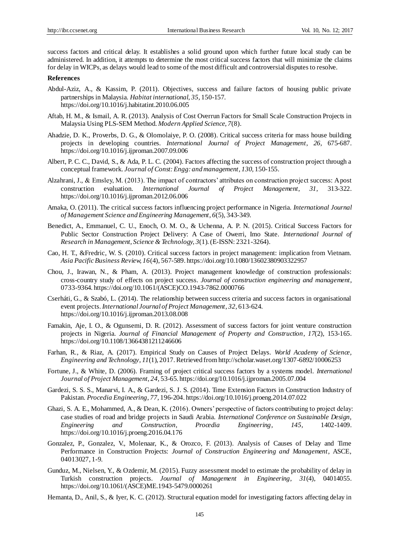success factors and critical delay. It establishes a solid ground upon which further future local study can be administered. In addition, it attempts to determine the most critical success factors that will minimize the claims for delay in WICPs, as delays would lead to some of the most difficult and controversial disputes to resolve.

### **References**

- Abdul-Aziz, A., & Kassim, P. (2011). Objectives, success and failure factors of housing public private partnerships in Malaysia. *Habitat international*, *35,* 150-157. https://doi.org/10.1016/j.habitatint.2010.06.005
- Aftab, H. M., & Ismail, A. R. (2013). Analysis of Cost Overrun Factors for Small Scale Construction Projects in Malaysia Using PLS-SEM Method. *Modern Applied Science*, *7*(8).
- Ahadzie, D. K., Proverbs, D. G., & Olomolaiye, P. O. (2008). Critical success criteria for mass house building projects in developing countries. *International Journal of Project Management*, *26,* 675-687. https://doi.org/10.1016/j.ijproman.2007.09.006
- Albert, P. C. C., David, S., & Ada, P. L. C. (2004). Factors affecting the success of construction project through a conceptual framework. *Journal of Const: Engg: and management, 130,* 150-155.
- Alzahrani, J., & Emsley, M. (2013). The impact of contractors' attributes on construction project success: A post construction evaluation. *International Journal of Project Management*, *31,* 313-322. https://doi.org/10.1016/j.ijproman.2012.06.006
- Amaka, O. (2011). The critical success factors influencing project performance in Nigeria. *International Journal of Management Science and Engineering Management*, *6*(5), 343-349.
- Benedict, A., Emmanuel, C. U., Enoch, O. M. O., & Uchenna, A. P. N. (2015). Critical Success Factors for Public Sector Construction Project Delivery: A Case of Owerri, Imo State. *International Journal of Research in Management, Science & Technology, 3*(1).(E-ISSN: 2321-3264).
- Cao, H. T., &Fredric, W. S. (2010). Critical success factors in project management: implication from Vietnam. *Asia Pacific Business Review, 16*(4), 567-589. https://doi.org/10.1080/13602380903322957
- Chou, J., Irawan, N., & Pham, A. (2013). Project management knowledge of construction professionals: cross-country study of effects on project success. *Journal of construction engineering and management*, 0733-9364. https://doi.org/10.1061/(ASCE)CO.1943-7862.0000766
- Cserháti, G., & Szabó, L. (2014). The relationship between success criteria and success factors in organisational event projects. *International Journal of Project Management*, *32,* 613-624. https://doi.org/10.1016/j.ijproman.2013.08.008
- Famakin, Aje, I. O., & Ogunsemi, D. R. (2012). Assessment of success factors for joint venture construction projects in Nigeria. *Journal of Financial Management of Property and Construction*, *17*(2), 153-165. https://doi.org/10.1108/13664381211246606
- Farhan, R., & Riaz, A. (2017). Empirical Study on Causes of Project Delays. *World Academy of Science, Engineering and Technology*, *11*(1), 2017. Retrieved from http://scholar.waset.org/1307-6892/10006253
- Fortune, J., & White, D. (2006). Framing of project critical success factors by a systems model. *International Journal of Project Management*, *24,* 53-65. https://doi.org/10.1016/j.ijproman.2005.07.004
- Gardezi, S. S. S., Manarvi, I. A., & Gardezi, S. J. S. (2014). Time Extension Factors in Construction Industry of Pakistan. *Procedia Engineering*, *77,* 196-204. https://doi.org/10.1016/j.proeng.2014.07.022
- Ghazi, S. A. E., Mohammed, A., & Dean, K. (2016). Owners' perspective of factors contributing to project delay: case studies of road and bridge projects in Saudi Arabia. *International Conference on Sustainable Design, Engineering and Construction, Procedia Engineering, 145,* 1402-1409. https://doi.org/10.1016/j.proeng.2016.04.176
- Gonzalez, P., Gonzalez, V., Molenaar, K., & Orozco, F. (2013). Analysis of Causes of Delay and Time Performance in Construction Projects: *Journal of Construction Engineering and Management*, ASCE, 04013027, 1-9.
- Gunduz, M., Nielsen, Y., & Ozdemir, M. (2015). Fuzzy assessment model to estimate the probability of delay in Turkish construction projects. *Journal of Management in Engineering*, *31*(4), 04014055. https://doi.org/10.1061/(ASCE)ME.1943-5479.0000261
- Hemanta, D., Anil, S., & Iyer, K. C. (2012). Structural equation model for investigating factors affecting delay in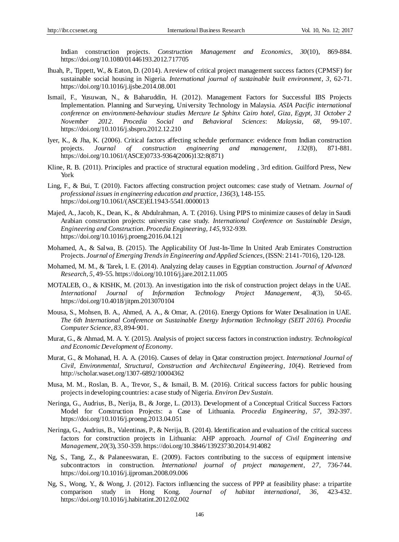Indian construction projects. *Construction Management and Economics*, *30*(10), 869-884. https://doi.org/10.1080/01446193.2012.717705

- Ihuah, P., Tippett, W., & Eaton, D. (2014). A review of critical project management success factors (CPMSF) for sustainable social housing in Nigeria. *International journal of sustainable built environment*, *3,* 62-71. https://doi.org/10.1016/j.ijsbe.2014.08.001
- Ismail, F., Yusuwan, N., & Baharuddin, H. (2012). Management Factors for Successful IBS Projects Implementation. Planning and Surveying, University Technology in Malaysia. *ASIA Pacific international conference on environment-behaviour studies Mercure Le Sphinx Cairo hotel, Giza, Egypt, 31 October 2 November 2012. Procedia Social and Behavioral Sciences*: *Malaysia, 68,* 99-107. https://doi.org/10.1016/j.sbspro.2012.12.210
- Iyer, K., & Jha, K. (2006). Critical factors affecting schedule performance: evidence from Indian construction projects. *Journal of construction engineering and management*, *132*(8), 871-881. https://doi.org/10.1061/(ASCE)0733-9364(2006)132:8(871)
- Kline, R. B. (2011). Principles and practice of structural equation modeling , 3rd edition. Guilford Press, New York
- Ling, F., & Bui, T. (2010). Factors affecting construction project outcomes: case study of Vietnam. *Journal of professional issues in engineering education and practice*, *136*(3), 148-155. https://doi.org/10.1061/(ASCE)EI.1943-5541.0000013
- Majed, A., Jacob, K., Dean, K., & Abdulrahman, A. T. (2016). Using PIPS to minimize causes of delay in Saudi Arabian construction projects: university case study. *International Conference on Sustainable Design, Engineering and Construction. Procedia Engineering, 145,* 932-939. https://doi.org/10.1016/j.proeng.2016.04.121
- Mohamed, A., & Salwa, B. (2015). The Applicability Of Just-In-Time In United Arab Emirates Construction Projects. *Journal of Emerging Trends in Engineering and Applied Sciences,*(ISSN: 2141-7016), 120-128.
- Mohamed, M. M., & Tarek, I. E. (2014). Analyzing delay causes in Egyptian construction. *Journal of Advanced Research*, *5,* 49-55. https://doi.org/10.1016/j.jare.2012.11.005
- MOTALEB, O., & KISHK, M. (2013). An investigation into the risk of construction project delays in the UAE. *International Journal of Information Technology Project Management*, *4*(3), 50-65. https://doi.org/10.4018/jitpm.2013070104
- Mousa, S., Mohsen, B. A., Ahmed, A. A., & Omar, A. (2016). Energy Options for Water Desalination in UAE. *The 6th International Conference on Sustainable Energy Information Technology (SEIT 2016). Procedia Computer Science, 83,* 894-901.
- Murat, G., & Ahmad, M. A. Y. (2015). Analysis of project success factors in construction industry. *Technological and Economic Development of Economy*.
- Murat, G., & Mohanad, H. A. A. (2016). Causes of delay in Qatar construction project. *International Journal of Civil, Environmental, Structural, Construction and Architectural Engineering, 10*(4). Retrieved from http://scholar.waset.org/1307-6892/10004362
- Musa, M. M., Roslan, B. A., Trevor, S., & Ismail, B. M. (2016). Critical success factors for public housing projects in developing countries: a case study of Nigeria. *Environ Dev Sustain*.
- Neringa, G., Audrius, B., Nerija, B., & Jorge, L. (2013). Development of a Conceptual Critical Success Factors Model for Construction Projects: a Case of Lithuania. *Procedia Engineering, 57,* 392-397. https://doi.org/10.1016/j.proeng.2013.04.051
- Neringa, G., Audrius, B., Valentinas, P., & Nerija, B. (2014). Identification and evaluation of the critical success factors for construction projects in Lithuania: AHP approach. *Journal of Civil Engineering and Management*, *20*(3), 350-359. https://doi.org/10.3846/13923730.2014.914082
- Ng, S., Tang, Z., & Palaneeswaran, E. (2009). Factors contributing to the success of equipment intensive subcontractors in construction. *International journal of project management*, *27,* 736-744. https://doi.org/10.1016/j.ijproman.2008.09.006
- Ng, S., Wong, Y., & Wong, J. (2012). Factors influencing the success of PPP at feasibility phase: a tripartite comparison study in Hong Kong. *Journal of habitat international*, *36,* 423-432. https://doi.org/10.1016/j.habitatint.2012.02.002